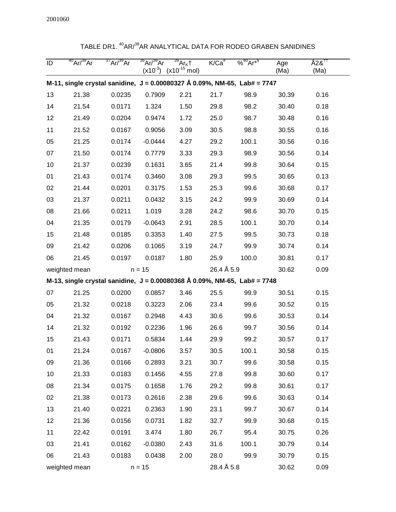| ID | $40$ Ar/ $39$ Ar | $37$ Ar/ $39$ Ar | $36$ Ar/ $39$ Ar<br>$(x10^{-3})$ | $\overline{{}^{39}\text{Ar}_{\text{K}}}$<br>$(x10^{-15})$<br>mol) | $K/Ca^*$   | $\frac{96^{40}}{4}Ar^{*9}$                                                             | Age<br>(Ma) | A2& <sup>11</sup><br>(Ma) |
|----|------------------|------------------|----------------------------------|-------------------------------------------------------------------|------------|----------------------------------------------------------------------------------------|-------------|---------------------------|
|    |                  |                  |                                  |                                                                   |            | M-11, single crystal sanidine, $J = 0.00080327 \text{ Å } 0.09\%$ , NM-65, Lab# = 7747 |             |                           |
| 13 | 21.38            | 0.0235           | 0.7909                           | 2.21                                                              | 21.7       | 98.9                                                                                   | 30.39       | 0.16                      |
| 14 | 21.54            | 0.0171           | 1.324                            | 1.50                                                              | 29.8       | 98.2                                                                                   | 30.40       | 0.18                      |
| 12 | 21.49            | 0.0204           | 0.9474                           | 1.72                                                              | 25.0       | 98.7                                                                                   | 30.48       | 0.16                      |
| 11 | 21.52            | 0.0167           | 0.9056                           | 3.09                                                              | 30.5       | 98.8                                                                                   | 30.55       | 0.16                      |
| 05 | 21.25            | 0.0174           | $-0.0444$                        | 4.27                                                              | 29.2       | 100.1                                                                                  | 30.56       | 0.16                      |
| 07 | 21.50            | 0.0174           | 0.7779                           | 3.33                                                              | 29.3       | 98.9                                                                                   | 30.56       | 0.14                      |
| 10 | 21.37            | 0.0239           | 0.1631                           | 3.65                                                              | 21.4       | 99.8                                                                                   | 30.64       | 0.15                      |
| 01 | 21.43            | 0.0174           | 0.3460                           | 3.08                                                              | 29.3       | 99.5                                                                                   | 30.65       | 0.13                      |
| 02 | 21.44            | 0.0201           | 0.3175                           | 1.53                                                              | 25.3       | 99.6                                                                                   | 30.68       | 0.17                      |
| 03 | 21.37            | 0.0211           | 0.0432                           | 3.15                                                              | 24.2       | 99.9                                                                                   | 30.69       | 0.14                      |
| 08 | 21.66            | 0.0211           | 1.019                            | 3.28                                                              | 24.2       | 98.6                                                                                   | 30.70       | 0.15                      |
| 04 | 21.35            | 0.0179           | $-0.0643$                        | 2.91                                                              | 28.5       | 100.1                                                                                  | 30.70       | 0.14                      |
| 15 | 21.48            | 0.0185           | 0.3353                           | 1.40                                                              | 27.5       | 99.5                                                                                   | 30.73       | 0.18                      |
| 09 | 21.42            | 0.0206           | 0.1065                           | 3.19                                                              | 24.7       | 99.9                                                                                   | 30.74       | 0.14                      |
| 06 | 21.45            | 0.0197           | 0.0187                           | 1.80                                                              | 25.9       | 100.0                                                                                  | 30.81       | 0.17                      |
|    | weighted mean    |                  | $n = 15$                         |                                                                   | 26.4 Å 5.9 |                                                                                        | 30.62       | 0.09                      |
|    |                  |                  |                                  |                                                                   |            | M-13, single crystal sanidine, $J = 0.00080368 \text{ Å } 0.09\%$ , NM-65, Lab# = 7748 |             |                           |
| 07 | 21.25            | 0.0200           | 0.0857                           | 3.46                                                              | 25.5       | 99.9                                                                                   | 30.51       | 0.15                      |
| 05 | 21.32            | 0.0218           | 0.3223                           | 2.06                                                              | 23.4       | 99.6                                                                                   | 30.52       | 0.15                      |
| 04 | 21.32            | 0.0167           | 0.2948                           | 4.43                                                              | 30.6       | 99.6                                                                                   | 30.53       | 0.14                      |
| 14 | 21.32            | 0.0192           | 0.2236                           | 1.96                                                              | 26.6       | 99.7                                                                                   | 30.56       | 0.14                      |
| 15 | 21.43            | 0.0171           | 0.5834                           | 1.44                                                              | 29.9       | 99.2                                                                                   | 30.57       | 0.17                      |
| 01 | 21.24            | 0.0167           | $-0.0806$                        | 3.57                                                              | 30.5       | 100.1                                                                                  | 30.58       | 0.15                      |
| 09 | 21.36            | 0.0166           | 0.2893                           | 3.21                                                              | 30.7       | 99.6                                                                                   | 30.58       | 0.15                      |
| 10 | 21.33            | 0.0183           | 0.1456                           | 4.55                                                              | 27.8       | 99.8                                                                                   | 30.60       | 0.17                      |
| 08 | 21.34            | 0.0175           | 0.1658                           | 1.76                                                              | 29.2       | 99.8                                                                                   | 30.61       | 0.17                      |
| 02 | 21.38            | 0.0173           | 0.2616                           | 2.38                                                              | 29.6       | 99.6                                                                                   | 30.63       | 0.14                      |
| 13 | 21.40            | 0.0221           | 0.2363                           | 1.90                                                              | 23.1       | 99.7                                                                                   | 30.67       | 0.14                      |
| 12 | 21.36            | 0.0156           | 0.0731                           | 1.82                                                              | 32.7       | 99.9                                                                                   | 30.68       | 0.15                      |
| 11 | 22.42            | 0.0191           | 3.474                            | 1.80                                                              | 26.7       | 95.4                                                                                   | 30.75       | 0.26                      |
| 03 | 21.41            | 0.0162           | $-0.0380$                        | 2.43                                                              | 31.6       | 100.1                                                                                  | 30.79       | 0.14                      |
| 06 | 21.43            | 0.0183           | 0.0438                           | 2.00                                                              | 28.0       | 99.9                                                                                   | 30.79       | 0.15                      |
|    | weighted mean    |                  | $n = 15$                         |                                                                   | 28.4 Å 5.8 |                                                                                        | 30.62       | 0.09                      |

## TABLE DR1. <sup>40</sup>AR/<sup>39</sup>AR ANALYTICAL DATA FOR RODEO GRABEN SANIDINES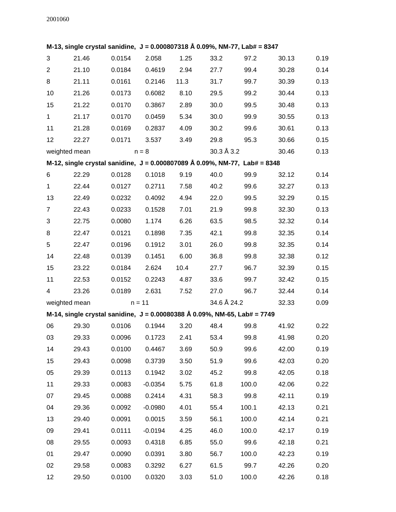## **M-13, single crystal sanidine, J = 0.000807318 Å 0.09%, NM-77, Lab# = 8347**

| 3                                                                                       | 21.46         | 0.0154                                                                    | 2.058     | 1.25 | 33.2        | 97.2  | 30.13 | 0.19 |  |  |  |
|-----------------------------------------------------------------------------------------|---------------|---------------------------------------------------------------------------|-----------|------|-------------|-------|-------|------|--|--|--|
| $\overline{2}$                                                                          | 21.10         | 0.0184                                                                    | 0.4619    | 2.94 | 27.7        | 99.4  | 30.28 | 0.14 |  |  |  |
| 8                                                                                       | 21.11         | 0.0161                                                                    | 0.2146    | 11.3 | 31.7        | 99.7  | 30.39 | 0.13 |  |  |  |
| 10                                                                                      | 21.26         | 0.0173                                                                    | 0.6082    | 8.10 | 29.5        | 99.2  | 30.44 | 0.13 |  |  |  |
| 15                                                                                      | 21.22         | 0.0170                                                                    | 0.3867    | 2.89 | 30.0        | 99.5  | 30.48 | 0.13 |  |  |  |
| $\mathbf{1}$                                                                            | 21.17         | 0.0170                                                                    | 0.0459    | 5.34 | 30.0        | 99.9  | 30.55 | 0.13 |  |  |  |
| 11                                                                                      | 21.28         | 0.0169                                                                    | 0.2837    | 4.09 | 30.2        | 99.6  | 30.61 | 0.13 |  |  |  |
| 12                                                                                      | 22.27         | 0.0171                                                                    | 3.537     | 3.49 | 29.8        | 95.3  | 30.66 | 0.15 |  |  |  |
|                                                                                         | weighted mean |                                                                           | $n = 8$   |      | 30.3 Å 3.2  |       | 30.46 | 0.13 |  |  |  |
| M-12, single crystal sanidine, $J = 0.000807089 \text{ Å } 0.09\%$ , NM-77, Lab# = 8348 |               |                                                                           |           |      |             |       |       |      |  |  |  |
| 6                                                                                       | 22.29         | 0.0128                                                                    | 0.1018    | 9.19 | 40.0        | 99.9  | 32.12 | 0.14 |  |  |  |
| 1                                                                                       | 22.44         | 0.0127                                                                    | 0.2711    | 7.58 | 40.2        | 99.6  | 32.27 | 0.13 |  |  |  |
| 13                                                                                      | 22.49         | 0.0232                                                                    | 0.4092    | 4.94 | 22.0        | 99.5  | 32.29 | 0.15 |  |  |  |
| $\overline{7}$                                                                          | 22.43         | 0.0233                                                                    | 0.1528    | 7.01 | 21.9        | 99.8  | 32.30 | 0.13 |  |  |  |
| 3                                                                                       | 22.75         | 0.0080                                                                    | 1.174     | 6.26 | 63.5        | 98.5  | 32.32 | 0.14 |  |  |  |
| 8                                                                                       | 22.47         | 0.0121                                                                    | 0.1898    | 7.35 | 42.1        | 99.8  | 32.35 | 0.14 |  |  |  |
| 5                                                                                       | 22.47         | 0.0196                                                                    | 0.1912    | 3.01 | 26.0        | 99.8  | 32.35 | 0.14 |  |  |  |
| 14                                                                                      | 22.48         | 0.0139                                                                    | 0.1451    | 6.00 | 36.8        | 99.8  | 32.38 | 0.12 |  |  |  |
| 15                                                                                      | 23.22         | 0.0184                                                                    | 2.624     | 10.4 | 27.7        | 96.7  | 32.39 | 0.15 |  |  |  |
| 11                                                                                      | 22.53         | 0.0152                                                                    | 0.2243    | 4.87 | 33.6        | 99.7  | 32.42 | 0.15 |  |  |  |
| 4                                                                                       | 23.26         | 0.0189                                                                    | 2.631     | 7.52 | 27.0        | 96.7  | 32.44 | 0.14 |  |  |  |
|                                                                                         | weighted mean |                                                                           | $n = 11$  |      | 34.6 Å 24.2 |       | 32.33 | 0.09 |  |  |  |
|                                                                                         |               | M-14, single crystal sanidine, J = 0.00080388 Å 0.09%, NM-65, Lab# = 7749 |           |      |             |       |       |      |  |  |  |
| 06                                                                                      | 29.30         | 0.0106                                                                    | 0.1944    | 3.20 | 48.4        | 99.8  | 41.92 | 0.22 |  |  |  |
| 03                                                                                      | 29.33         | 0.0096                                                                    | 0.1723    | 2.41 | 53.4        | 99.8  | 41.98 | 0.20 |  |  |  |
| 14                                                                                      | 29.43         | 0.0100                                                                    | 0.4467    | 3.69 | 50.9        | 99.6  | 42.00 | 0.19 |  |  |  |
| 15                                                                                      | 29.43         | 0.0098                                                                    | 0.3739    | 3.50 | 51.9        | 99.6  | 42.03 | 0.20 |  |  |  |
| 05                                                                                      | 29.39         | 0.0113                                                                    | 0.1942    | 3.02 | 45.2        | 99.8  | 42.05 | 0.18 |  |  |  |
| 11                                                                                      | 29.33         | 0.0083                                                                    | $-0.0354$ | 5.75 | 61.8        | 100.0 | 42.06 | 0.22 |  |  |  |
| 07                                                                                      | 29.45         | 0.0088                                                                    | 0.2414    | 4.31 | 58.3        | 99.8  | 42.11 | 0.19 |  |  |  |
| 04                                                                                      | 29.36         | 0.0092                                                                    | $-0.0980$ | 4.01 | 55.4        | 100.1 | 42.13 | 0.21 |  |  |  |
| 13                                                                                      | 29.40         | 0.0091                                                                    | 0.0015    | 3.59 | 56.1        | 100.0 | 42.14 | 0.21 |  |  |  |
| 09                                                                                      | 29.41         | 0.0111                                                                    | $-0.0194$ | 4.25 | 46.0        | 100.0 | 42.17 | 0.19 |  |  |  |
| 08                                                                                      | 29.55         | 0.0093                                                                    | 0.4318    | 6.85 | 55.0        | 99.6  | 42.18 | 0.21 |  |  |  |
| 01                                                                                      | 29.47         | 0.0090                                                                    | 0.0391    | 3.80 | 56.7        | 100.0 | 42.23 | 0.19 |  |  |  |
| 02                                                                                      | 29.58         | 0.0083                                                                    | 0.3292    | 6.27 | 61.5        | 99.7  | 42.26 | 0.20 |  |  |  |
| 12                                                                                      | 29.50         | 0.0100                                                                    | 0.0320    | 3.03 | 51.0        | 100.0 | 42.26 | 0.18 |  |  |  |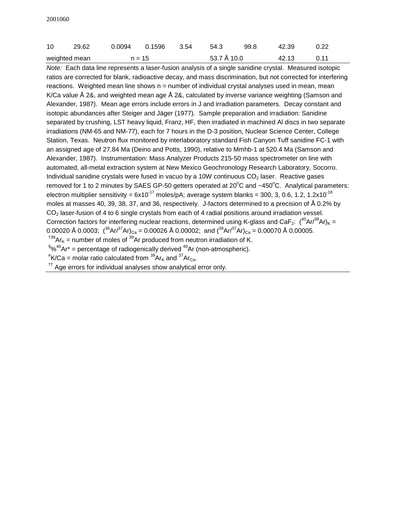| 10            | 29.62 |          | 0.0094   0.1596   3.54 | 54.3        | 99.8 | 42.39 | 0.22 |
|---------------|-------|----------|------------------------|-------------|------|-------|------|
| weighted mean |       | $n = 15$ |                        | 53.7 Å 10.0 |      | 42.13 | 0.11 |

Note: Each data line represents a laser-fusion analysis of a single sanidine crystal. Measured isotopic ratios are corrected for blank, radioactive decay, and mass discrimination, but not corrected for interfering reactions. Weighted mean line shows  $n =$  number of individual crystal analyses used in mean, mean K/Ca value Å 2&, and weighted mean age Å 2&, calculated by inverse variance weighting (Samson and Alexander, 1987). Mean age errors include errors in J and irradiation parameters. Decay constant and isotopic abundances after Steiger and Jäger (1977). Sample preparation and irradiation: Sanidine separated by crushing, LST heavy liquid, Franz, HF, then irradiated in machined Al discs in two separate irradiations (NM-65 and NM-77), each for 7 hours in the D-3 position, Nuclear Science Center, College Station, Texas. Neutron flux monitored by interlaboratory standard Fish Canyon Tuff sanidine FC-1 with an assigned age of 27.84 Ma (Deino and Potts, 1990), relative to Mmhb-1 at 520.4 Ma (Samson and Alexander, 1987). Instrumentation: Mass Analyzer Products 215-50 mass spectrometer on line with automated, all-metal extraction system at New Mexico Geochronology Research Laboratory, Socorro. Individual sanidine crystals were fused in vacuo by a 10W continuous  $CO<sub>2</sub>$  laser. Reactive gases removed for 1 to 2 minutes by SAES GP-50 getters operated at 20 $^{\circ}$ C and ~450 $^{\circ}$ C. Analytical parameters: electron multiplier sensitivity =  $6x10^{-17}$  moles/pA; average system blanks = 300, 3, 0.6, 1.2, 1.2x10<sup>-18</sup> moles at masses 40, 39, 38, 37, and 36, respectively. J-factors determined to a precision of Å 0.2% by CO<sub>2</sub> laser-fusion of 4 to 6 single crystals from each of 4 radial positions around irradiation vessel. Correction factors for interfering nuclear reactions, determined using K-glass and CaF<sub>2</sub>:  $(^{40}Ar^{39}Ar)_{K}$  = 0.00020 Å 0.0003;  $({}^{36}Ar/{}^{37}Ar)_{Ca} = 0.00026$  Å 0.00002; and  $({}^{39}Ar/{}^{37}Ar)_{Ca} = 0.00070$  Å 0.00005. <sup>†39</sup>Ar<sub>K</sub> = number of moles of <sup>39</sup>Ar produced from neutron irradiation of K.  $$\%^{40}$ Ar\* = percentage of radiogenically derived  $^{40}$ Ar (non-atmospheric).

 $*$ K/Ca = molar ratio calculated from  $^{39}$ Ar<sub>K</sub> and  $^{37}$ Ar<sub>Ca</sub>.

 $<sup>††</sup>$  Age errors for individual analyses show analytical error only.</sup>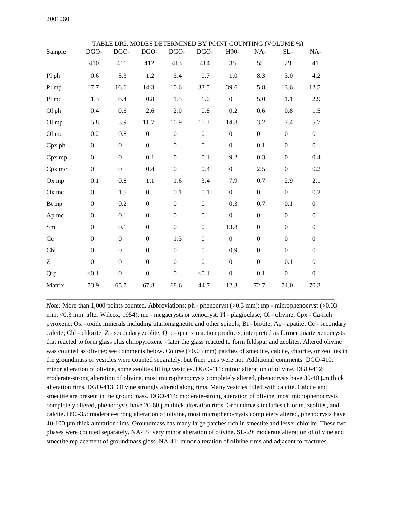| Sample     | DGO-             | DGO-             | <b>TABLE DR2. MODES DETERMINED BY POINT COUNTING (VOLUME %)</b><br>DGO- | DGO-             | DGO-             | H90-             | NA-              | SL-              | NA-              |  |
|------------|------------------|------------------|-------------------------------------------------------------------------|------------------|------------------|------------------|------------------|------------------|------------------|--|
|            | 410              | 411              | 412                                                                     | 413              | 414              | 35               | 55               | 29               | 41               |  |
| Pl ph      | 0.6              | 3.3              | $1.2\,$                                                                 | $3.4\,$          | 0.7              | $1.0\,$          | 8.3              | 3.0              | 4.2              |  |
| Pl mp      | 17.7             | 16.6             | 14.3                                                                    | 10.6             | 33.5             | 39.6             | 5.8              | 13.6             | 12.5             |  |
| Pl mc      | 1.3              | 6.4              | 0.8                                                                     | 1.5              | 1.0              | $\boldsymbol{0}$ | 5.0              | $1.1\,$          | 2.9              |  |
| Ol ph      | 0.4              | $0.6\,$          | 2.6                                                                     | $2.0\,$          | 0.8              | 0.2              | 0.6              | 0.8              | 1.5              |  |
| Ol mp      | 5.8              | 3.9              | 11.7                                                                    | 10.9             | 15.3             | 14.8             | 3.2              | 7.4              | 5.7              |  |
| Ol mc      | $0.2\,$          | $0.8\,$          | $\boldsymbol{0}$                                                        | $\boldsymbol{0}$ | $\boldsymbol{0}$ | $\boldsymbol{0}$ | $\boldsymbol{0}$ | $\boldsymbol{0}$ | $\boldsymbol{0}$ |  |
| Cpx ph     | $\boldsymbol{0}$ | $\boldsymbol{0}$ | $\boldsymbol{0}$                                                        | $\boldsymbol{0}$ | $\boldsymbol{0}$ | $\boldsymbol{0}$ | 0.1              | $\boldsymbol{0}$ | $\overline{0}$   |  |
| Cpx mp     | $\boldsymbol{0}$ | $\boldsymbol{0}$ | 0.1                                                                     | $\boldsymbol{0}$ | 0.1              | 9.2              | 0.3              | $\boldsymbol{0}$ | 0.4              |  |
| Cpx mc     | $\boldsymbol{0}$ | $\boldsymbol{0}$ | 0.4                                                                     | $\boldsymbol{0}$ | 0.4              | $\boldsymbol{0}$ | 2.5              | $\boldsymbol{0}$ | 0.2              |  |
| Ox mp      | 0.1              | $0.8\,$          | 1.1                                                                     | 1.6              | 3.4              | 7.9              | 0.7              | 2.9              | 2.1              |  |
| Ox mc      | $\boldsymbol{0}$ | 1.5              | $\boldsymbol{0}$                                                        | 0.1              | 0.1              | $\boldsymbol{0}$ | $\boldsymbol{0}$ | $\boldsymbol{0}$ | 0.2              |  |
| Bt mp      | $\boldsymbol{0}$ | $0.2\,$          | $\boldsymbol{0}$                                                        | $\boldsymbol{0}$ | $\overline{0}$   | 0.3              | 0.7              | 0.1              | $\boldsymbol{0}$ |  |
| Ap mc      | $\boldsymbol{0}$ | 0.1              | $\boldsymbol{0}$                                                        | $\boldsymbol{0}$ | $\boldsymbol{0}$ | $\boldsymbol{0}$ | $\boldsymbol{0}$ | $\boldsymbol{0}$ | $\boldsymbol{0}$ |  |
| Sm         | $\boldsymbol{0}$ | 0.1              | $\boldsymbol{0}$                                                        | $\boldsymbol{0}$ | $\boldsymbol{0}$ | 13.8             | $\boldsymbol{0}$ | $\boldsymbol{0}$ | $\boldsymbol{0}$ |  |
| Cc         | $\boldsymbol{0}$ | $\boldsymbol{0}$ | $\boldsymbol{0}$                                                        | 1.3              | $\boldsymbol{0}$ | $\boldsymbol{0}$ | $\boldsymbol{0}$ | $\boldsymbol{0}$ | $\boldsymbol{0}$ |  |
| Chl        | $\boldsymbol{0}$ | $\boldsymbol{0}$ | $\boldsymbol{0}$                                                        | $\boldsymbol{0}$ | $\boldsymbol{0}$ | 0.9              | $\boldsymbol{0}$ | $\boldsymbol{0}$ | $\boldsymbol{0}$ |  |
| Z          | $\boldsymbol{0}$ | $\boldsymbol{0}$ | $\boldsymbol{0}$                                                        | $\boldsymbol{0}$ | $\boldsymbol{0}$ | $\boldsymbol{0}$ | $\boldsymbol{0}$ | 0.1              | $\boldsymbol{0}$ |  |
| <b>Qrp</b> | < 0.1            | $\boldsymbol{0}$ | $\boldsymbol{0}$                                                        | $\boldsymbol{0}$ | < 0.1            | $\boldsymbol{0}$ | 0.1              | $\boldsymbol{0}$ | $\boldsymbol{0}$ |  |
| Matrix     | 73.9             | 65.7             | 67.8                                                                    | 68.6             | 44.7             | 12.3             | 72.7             | 71.0             | 70.3             |  |

TA DETERMINED DI PODET COUNTING (VOLUME

*Note:* More than 1,000 points counted. Abbreviations: ph - phenocryst (>0.3 mm); mp - microphenocryst (>0.03 mm, <0.3 mm: after Wilcox, 1954); mc - megacrysts or xenocryst. Pl - plagioclase; Ol - olivine; Cpx - Ca-rich pyroxene; Ox - oxide minerals including titanomagnetite and other spinels; Bt - biotite; Ap - apatite; Cc - secondary calcite; Chl - chlorite; Z - secondary zeolite; Qrp - quartz reaction products, interpreted as former quartz xenocrysts that reacted to form glass plus clinopyroxene - later the glass reacted to form feldspar and zeolites. Altered olivine was counted as olivine; see comments below. Course (>0.03 mm) patches of smectite, calcite, chlorite, or zeolites in the groundmass or vesicles were counted separately, but finer ones were not. Additional comments: DGO-410: minor alteration of olivine, some zeolites filling vesicles. DGO-411: minor alteration of olivine. DGO-412: moderate-strong alteration of olivine, most microphenocrysts completely altered, phenocrysts have 30-40  $\mu$ m thick alteration rims. DGO-413: Olivine strongly altered along rims. Many vesicles filled with calcite. Calcite and smectite are present in the groundmass. DGO-414: moderate-strong alteration of olivine, most microphenocrysts completely altered, phenocrysts have 20-60  $\mu$ m thick alteration rims. Groundmass includes chlorite, zeolites, and calcite. H90-35: moderate-strong alteration of olivine, most microphenocrysts completely altered, phenocrysts have 40-100 µm thick alteration rims. Groundmass has many large patches rich in smectite and lesser chlorite. These two phases were counted separately. NA-55: very minor alteration of olivine. SL-29: moderate alteration of olivine and smectite replacement of groundmass glass. NA-41: minor alteration of olivine rims and adjacent to fractures.

\_\_\_\_\_\_\_\_\_\_\_\_\_\_\_\_\_\_\_\_\_\_\_\_\_\_\_\_\_\_\_\_\_\_\_\_\_\_\_\_\_\_\_\_\_\_\_\_\_\_\_\_\_\_\_\_\_\_\_\_\_\_\_\_\_\_\_\_\_\_\_\_\_\_\_\_\_\_\_\_\_\_\_\_\_\_\_\_\_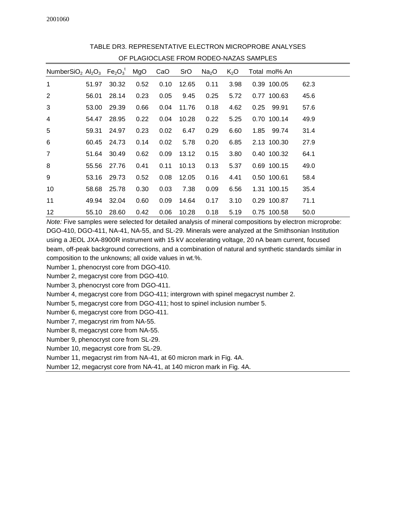| OF PLAGIOCLASE FROM RODEO-NAZAS SAMPLES                                                                   |       |       |      |      |            |                   |        |               |      |  |  |
|-----------------------------------------------------------------------------------------------------------|-------|-------|------|------|------------|-------------------|--------|---------------|------|--|--|
| NumberSiO <sub>2</sub> Al <sub>2</sub> O <sub>3</sub> Fe <sub>2</sub> O <sub>3</sub> <sup>t</sup> MgO CaO |       |       |      |      | <b>SrO</b> | Na <sub>2</sub> O | $K_2O$ | Total mol% An |      |  |  |
| 1                                                                                                         | 51.97 | 30.32 | 0.52 | 0.10 | 12.65      | 0.11              | 3.98   | 0.39 100.05   | 62.3 |  |  |
| $\overline{2}$                                                                                            | 56.01 | 28.14 | 0.23 | 0.05 | 9.45       | 0.25              | 5.72   | 0.77 100.63   | 45.6 |  |  |
| 3                                                                                                         | 53.00 | 29.39 | 0.66 | 0.04 | 11.76      | 0.18              | 4.62   | 99.91<br>0.25 | 57.6 |  |  |
| 4                                                                                                         | 54.47 | 28.95 | 0.22 | 0.04 | 10.28      | 0.22              | 5.25   | 0.70 100.14   | 49.9 |  |  |
| 5                                                                                                         | 59.31 | 24.97 | 0.23 | 0.02 | 6.47       | 0.29              | 6.60   | 1.85<br>99.74 | 31.4 |  |  |
| 6                                                                                                         | 60.45 | 24.73 | 0.14 | 0.02 | 5.78       | 0.20              | 6.85   | 2.13 100.30   | 27.9 |  |  |
| $\overline{7}$                                                                                            | 51.64 | 30.49 | 0.62 | 0.09 | 13.12      | 0.15              | 3.80   | 0.40 100.32   | 64.1 |  |  |
| 8                                                                                                         | 55.56 | 27.76 | 0.41 | 0.11 | 10.13      | 0.13              | 5.37   | 0.69 100.15   | 49.0 |  |  |
| 9                                                                                                         | 53.16 | 29.73 | 0.52 | 0.08 | 12.05      | 0.16              | 4.41   | 0.50 100.61   | 58.4 |  |  |
| 10                                                                                                        | 58.68 | 25.78 | 0.30 | 0.03 | 7.38       | 0.09              | 6.56   | 1.31 100.15   | 35.4 |  |  |
| 11                                                                                                        | 49.94 | 32.04 | 0.60 | 0.09 | 14.64      | 0.17              | 3.10   | 0.29 100.87   | 71.1 |  |  |
| 12                                                                                                        | 55.10 | 28.60 | 0.42 | 0.06 | 10.28      | 0.18              | 5.19   | 0.75 100.58   | 50.0 |  |  |

TABLE DR3. REPRESENTATIVE ELECTRON MICROPROBE ANALYSES

Note: Five samples were selected for detailed analysis of mineral compositions by electron microprobe: DGO-410, DGO-411, NA-41, NA-55, and SL-29. Minerals were analyzed at the Smithsonian Institution using a JEOL JXA-8900R instrument with 15 kV accelerating voltage, 20 nA beam current, focused beam, off-peak background corrections, and a combination of natural and synthetic standards similar in composition to the unknowns; all oxide values in wt.%.

Number 1, phenocryst core from DGO-410.

Number 2, megacryst core from DGO-410.

Number 3, phenocryst core from DGO-411.

Number 4, megacryst core from DGO-411; intergrown with spinel megacryst number 2.

Number 5, megacryst core from DGO-411; host to spinel inclusion number 5.

Number 6, megacryst core from DGO-411.

Number 7, megacryst rim from NA-55.

Number 8, megacryst core from NA-55.

Number 9, phenocryst core from SL-29.

Number 10, megacryst core from SL-29.

Number 11, megacryst rim from NA-41, at 60 micron mark in Fig. 4A.

Number 12, megacryst core from NA-41, at 140 micron mark in Fig. 4A.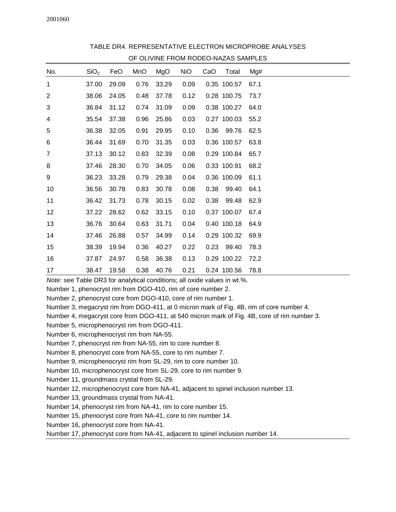|                | OF OLIVINE FROM RODEO-NAZAS SAMPLES |       |      |       |            |      |             |      |  |  |  |  |
|----------------|-------------------------------------|-------|------|-------|------------|------|-------------|------|--|--|--|--|
| No.            | SiO <sub>2</sub>                    | FeO   | MnO  | MgO   | <b>NiO</b> | CaO  | Total       | Mg#  |  |  |  |  |
| 1              | 37.00                               | 29.09 | 0.76 | 33.29 | 0.09       |      | 0.35 100.57 | 67.1 |  |  |  |  |
| $\overline{2}$ | 38.06                               | 24.05 | 0.48 | 37.78 | 0.12       |      | 0.28 100.75 | 73.7 |  |  |  |  |
| 3              | 36.84                               | 31.12 | 0.74 | 31.09 | 0.09       |      | 0.38 100.27 | 64.0 |  |  |  |  |
| 4              | 35.54                               | 37.38 | 0.96 | 25.86 | 0.03       |      | 0.27 100.03 | 55.2 |  |  |  |  |
| 5              | 36.38                               | 32.05 | 0.91 | 29.95 | 0.10       | 0.36 | 99.76       | 62.5 |  |  |  |  |
| 6              | 36.44                               | 31.69 | 0.70 | 31.35 | 0.03       |      | 0.36 100.57 | 63.8 |  |  |  |  |
| $\overline{7}$ | 37.13                               | 30.12 | 0.83 | 32.39 | 0.08       |      | 0.29 100.84 | 65.7 |  |  |  |  |
| 8              | 37.46                               | 28.30 | 0.70 | 34.05 | 0.06       |      | 0.33 100.91 | 68.2 |  |  |  |  |
| 9              | 36.23                               | 33.28 | 0.79 | 29.38 | 0.04       |      | 0.36 100.09 | 61.1 |  |  |  |  |
| 10             | 36.56                               | 30.78 | 0.83 | 30.78 | 0.08       | 0.38 | 99.40       | 64.1 |  |  |  |  |
| 11             | 36.42                               | 31.73 | 0.78 | 30.15 | 0.02       | 0.38 | 99.48       | 62.9 |  |  |  |  |
| 12             | 37.22                               | 28.62 | 0.62 | 33.15 | 0.10       |      | 0.37 100.07 | 67.4 |  |  |  |  |
| 13             | 36.76                               | 30.64 | 0.63 | 31.71 | 0.04       |      | 0.40 100.18 | 64.9 |  |  |  |  |
| 14             | 37.46                               | 26.88 | 0.57 | 34.99 | 0.14       |      | 0.29 100.32 | 69.9 |  |  |  |  |
| 15             | 38.39                               | 19.94 | 0.36 | 40.27 | 0.22       | 0.23 | 99.40       | 78.3 |  |  |  |  |
| 16             | 37.87                               | 24.97 | 0.58 | 36.38 | 0.13       |      | 0.29 100.22 | 72.2 |  |  |  |  |
| 17             | 38.47                               | 19.58 | 0.38 | 40.76 | 0.21       |      | 0.24 100.56 | 78.8 |  |  |  |  |

TABLE DR4. REPRESENTATIVE ELECTRON MICROPROBE ANALYSES OF OLIVINE FROM RODEO-NAZAS SAMPLES

Note: see Table DR3 for analytical conditions; all oxide values in wt.%.

Number 1, phenocryst rim from DGO-410, rim of core number 2.

Number 2, phenocryst core from DGO-410, core of rim number 1.

Number 3, megacryst rim from DGO-411, at 0 micron mark of Fig. 4B, rim of core number 4.

Number 4, megacryst core from DGO-411, at 540 micron mark of Fig. 4B, core of rim number 3.

Number 5, microphenocryst rim from DGO-411.

Number 6, microphenocryst rim from NA-55.

Number 7, phenocryst rim from NA-55, rim to core number 8.

Number 8, phenocryst core from NA-55, core to rim number 7.

Number 9, microphenocryst rim from SL-29, rim to core number 10.

Number 10, microphenocryst core from SL-29, core to rim number 9.

Number 11, groundmass crystal from SL-29.

Number 12, microphenocryst core from NA-41, adjacent to spinel inclusion number 13.

Number 13, groundmass crystal from NA-41.

Number 14, phenocryst rim from NA-41, rim to core number 15.

Number 15, phenocryst core from NA-41, core to rim number 14.

Number 16, phenocryst core from NA-41.

Number 17, phenocryst core from NA-41, adjacent to spinel inclusion number 14.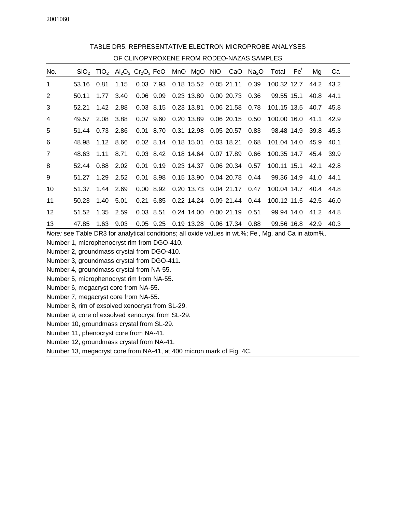| OF CLINOPYROXENE FROM RODEO-NAZAS SAMPLES |       |           |             |  |  |  |                                 |  |                                      |      |                                                                                                                                                   |  |                      |      |
|-------------------------------------------|-------|-----------|-------------|--|--|--|---------------------------------|--|--------------------------------------|------|---------------------------------------------------------------------------------------------------------------------------------------------------|--|----------------------|------|
| No.                                       |       |           |             |  |  |  |                                 |  |                                      |      | $SiO2$ TiO <sub>2</sub> Al <sub>2</sub> O <sub>3</sub> Cr <sub>2</sub> O <sub>3</sub> FeO MnO MgO NiO CaO Na <sub>2</sub> O Total Fe <sup>t</sup> |  | Mg                   | Ca   |
| 1                                         | 53.16 | 0.81 1.15 |             |  |  |  |                                 |  | 0.03 7.93 0.18 15.52 0.05 21.11 0.39 |      | 100.32 12.7 44.2 43.2                                                                                                                             |  |                      |      |
| 2                                         | 50.11 | 1.77      | 3.40        |  |  |  | 0.06 9.09 0.23 13.80            |  | 0.00 20.73 0.36                      |      | 99.55 15.1                                                                                                                                        |  | 40.8 44.1            |      |
| 3                                         | 52.21 |           | 1.42 2.88   |  |  |  |                                 |  | 0.03 8.15 0.23 13.81 0.06 21.58 0.78 |      | 101.15 13.5 40.7 45.8                                                                                                                             |  |                      |      |
| 4                                         | 49.57 |           | 2.08 3.88   |  |  |  |                                 |  | 0.07 9.60 0.20 13.89 0.06 20.15 0.50 |      | 100.00 16.0                                                                                                                                       |  | 41.1                 | 42.9 |
| 5                                         | 51.44 |           | $0.73$ 2.86 |  |  |  |                                 |  | 0.01 8.70 0.31 12.98 0.05 20.57 0.83 |      |                                                                                                                                                   |  | 98.48 14.9 39.8 45.3 |      |
| 6                                         | 48.98 |           | 1.12 8.66   |  |  |  | 0.02 8.14 0.18 15.01 0.03 18.21 |  |                                      | 0.68 | 101.04 14.0 45.9 40.1                                                                                                                             |  |                      |      |
| 7                                         | 48.63 | 1.11 8.71 |             |  |  |  |                                 |  | 0.03 8.42 0.18 14.64 0.07 17.89 0.66 |      | 100.35 14.7 45.4 39.9                                                                                                                             |  |                      |      |
| 8                                         | 52.44 | 0.88      | 2.02        |  |  |  |                                 |  | 0.01 9.19 0.23 14.37 0.06 20.34 0.57 |      | 100.11 15.1                                                                                                                                       |  | 42.1 42.8            |      |
| 9                                         | 51.27 | 1.29 2.52 |             |  |  |  |                                 |  | 0.01 8.98 0.15 13.90 0.04 20.78 0.44 |      |                                                                                                                                                   |  | 99.36 14.9 41.0 44.1 |      |
| 10                                        | 51.37 | 1.44 2.69 |             |  |  |  |                                 |  | 0.00 8.92 0.20 13.73 0.04 21.17 0.47 |      | 100.04 14.7 40.4 44.8                                                                                                                             |  |                      |      |
| 11                                        | 50.23 | 1.40      | 5.01        |  |  |  |                                 |  | 0.21 6.85 0.22 14.24 0.09 21.44 0.44 |      | 100.12 11.5 42.5 46.0                                                                                                                             |  |                      |      |
| 12                                        | 51.52 | 1.35 2.59 |             |  |  |  | 0.03 8.51 0.24 14.00            |  | 0.00 21.19 0.51                      |      |                                                                                                                                                   |  | 99.94 14.0 41.2 44.8 |      |
| 13                                        | 47.85 | 1.63      | 9.03        |  |  |  | $0.05$ 9.25 $0.19$ 13.28        |  | 0.06 17.34 0.88                      |      |                                                                                                                                                   |  | 99.56 16.8 42.9 40.3 |      |

TABLE DR5. REPRESENTATIVE ELECTRON MICROPROBE ANALYSES

Note: see Table DR3 for analytical conditions; all oxide values in wt.%; Fe<sup>t</sup>, Mg, and Ca in atom%.

Number 1, microphenocryst rim from DGO-410.

Number 2, groundmass crystal from DGO-410.

Number 3, groundmass crystal from DGO-411.

Number 4, groundmass crystal from NA-55.

Number 5, microphenocryst rim from NA-55.

Number 6, megacryst core from NA-55.

Number 7, megacryst core from NA-55.

Number 8, rim of exsolved xenocryst from SL-29.

Number 9, core of exsolved xenocryst from SL-29.

Number 10, groundmass crystal from SL-29.

Number 11, phenocryst core from NA-41.

Number 12, groundmass crystal from NA-41.

Number 13, megacryst core from NA-41, at 400 micron mark of Fig. 4C.